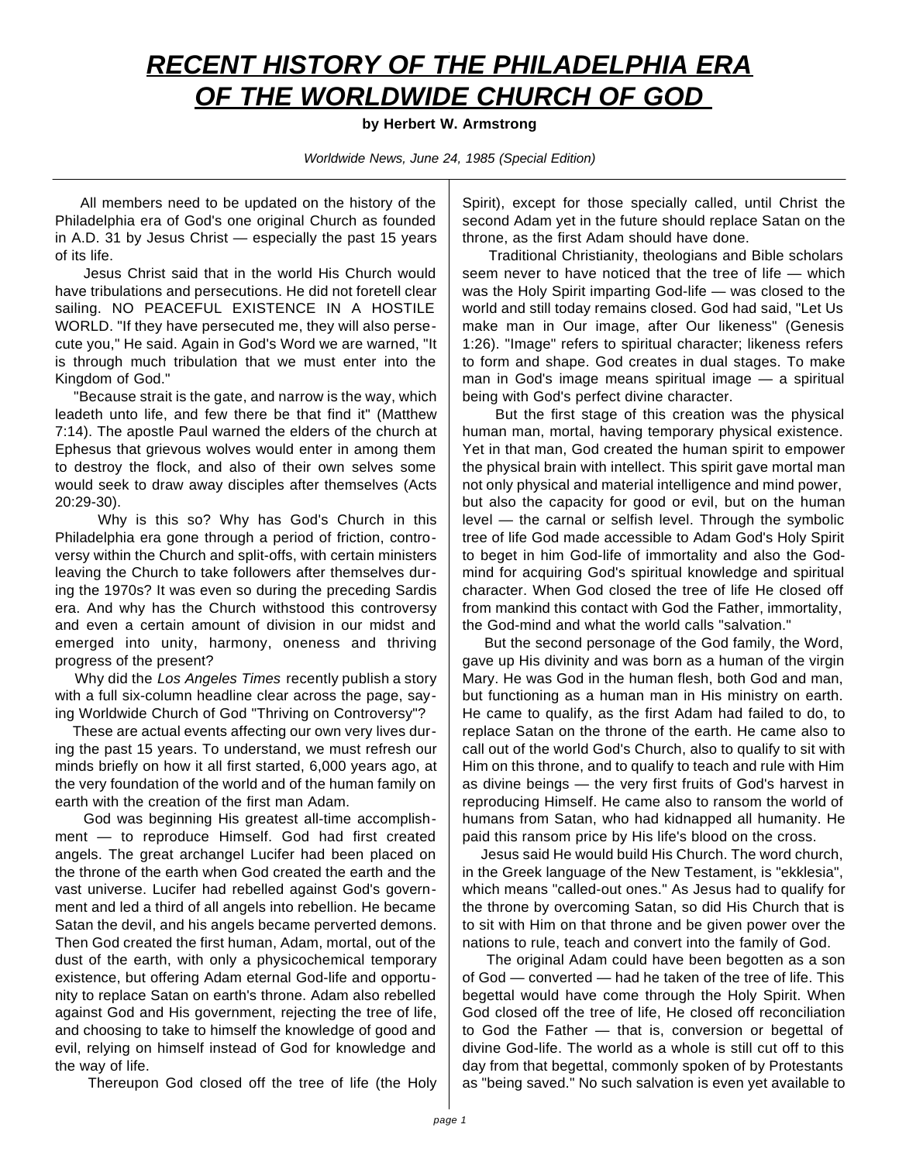## *RECENT HISTORY OF THE PHILADELPHIA ERA OF THE WORLDWIDE CHURCH OF GOD*

## **by Herbert W. Armstrong**

*Worldwide News, June 24, 1985 (Special Edition)*

All members need to be updated on the history of the Philadelphia era of God's one original Church as founded in A.D. 31 by Jesus Christ — especially the past 15 years of its life.

Jesus Christ said that in the world His Church would have tribulations and persecutions. He did not foretell clear sailing. NO PEACEFUL EXISTENCE IN A HOSTILE WORLD. "If they have persecuted me, they will also persecute you," He said. Again in God's Word we are warned, "It is through much tribulation that we must enter into the Kingdom of God."

"Because strait is the gate, and narrow is the way, which leadeth unto life, and few there be that find it" (Matthew 7:14). The apostle Paul warned the elders of the church at Ephesus that grievous wolves would enter in among them to destroy the flock, and also of their own selves some would seek to draw away disciples after themselves (Acts 20:29-30).

Why is this so? Why has God's Church in this Philadelphia era gone through a period of friction, controversy within the Church and split-offs, with certain ministers leaving the Church to take followers after themselves during the 1970s? It was even so during the preceding Sardis era. And why has the Church withstood this controversy and even a certain amount of division in our midst and emerged into unity, harmony, oneness and thriving progress of the present?

Why did the *Los Angeles Times* recently publish a story with a full six-column headline clear across the page, saying Worldwide Church of God "Thriving on Controversy"?

These are actual events affecting our own very lives during the past 15 years. To understand, we must refresh our minds briefly on how it all first started, 6,000 years ago, at the very foundation of the world and of the human family on earth with the creation of the first man Adam.

God was beginning His greatest all-time accomplishment — to reproduce Himself. God had first created angels. The great archangel Lucifer had been placed on the throne of the earth when God created the earth and the vast universe. Lucifer had rebelled against God's government and led a third of all angels into rebellion. He became Satan the devil, and his angels became perverted demons. Then God created the first human, Adam, mortal, out of the dust of the earth, with only a physicochemical temporary existence, but offering Adam eternal God-life and opportunity to replace Satan on earth's throne. Adam also rebelled against God and His government, rejecting the tree of life, and choosing to take to himself the knowledge of good and evil, relying on himself instead of God for knowledge and the way of life.

Thereupon God closed off the tree of life (the Holy

Spirit), except for those specially called, until Christ the second Adam yet in the future should replace Satan on the throne, as the first Adam should have done.

Traditional Christianity, theologians and Bible scholars seem never to have noticed that the tree of life — which was the Holy Spirit imparting God-life — was closed to the world and still today remains closed. God had said, "Let Us make man in Our image, after Our likeness" (Genesis 1:26). "Image" refers to spiritual character; likeness refers to form and shape. God creates in dual stages. To make man in God's image means spiritual image — a spiritual being with God's perfect divine character.

But the first stage of this creation was the physical human man, mortal, having temporary physical existence. Yet in that man, God created the human spirit to empower the physical brain with intellect. This spirit gave mortal man not only physical and material intelligence and mind power, but also the capacity for good or evil, but on the human level — the carnal or selfish level. Through the symbolic tree of life God made accessible to Adam God's Holy Spirit to beget in him God-life of immortality and also the Godmind for acquiring God's spiritual knowledge and spiritual character. When God closed the tree of life He closed off from mankind this contact with God the Father, immortality, the God-mind and what the world calls "salvation."

But the second personage of the God family, the Word, gave up His divinity and was born as a human of the virgin Mary. He was God in the human flesh, both God and man, but functioning as a human man in His ministry on earth. He came to qualify, as the first Adam had failed to do, to replace Satan on the throne of the earth. He came also to call out of the world God's Church, also to qualify to sit with Him on this throne, and to qualify to teach and rule with Him as divine beings — the very first fruits of God's harvest in reproducing Himself. He came also to ransom the world of humans from Satan, who had kidnapped all humanity. He paid this ransom price by His life's blood on the cross.

Jesus said He would build His Church. The word church, in the Greek language of the New Testament, is "ekklesia", which means "called-out ones." As Jesus had to qualify for the throne by overcoming Satan, so did His Church that is to sit with Him on that throne and be given power over the nations to rule, teach and convert into the family of God.

The original Adam could have been begotten as a son of God — converted — had he taken of the tree of life. This begettal would have come through the Holy Spirit. When God closed off the tree of life, He closed off reconciliation to God the Father — that is, conversion or begettal of divine God-life. The world as a whole is still cut off to this day from that begettal, commonly spoken of by Protestants as "being saved." No such salvation is even yet available to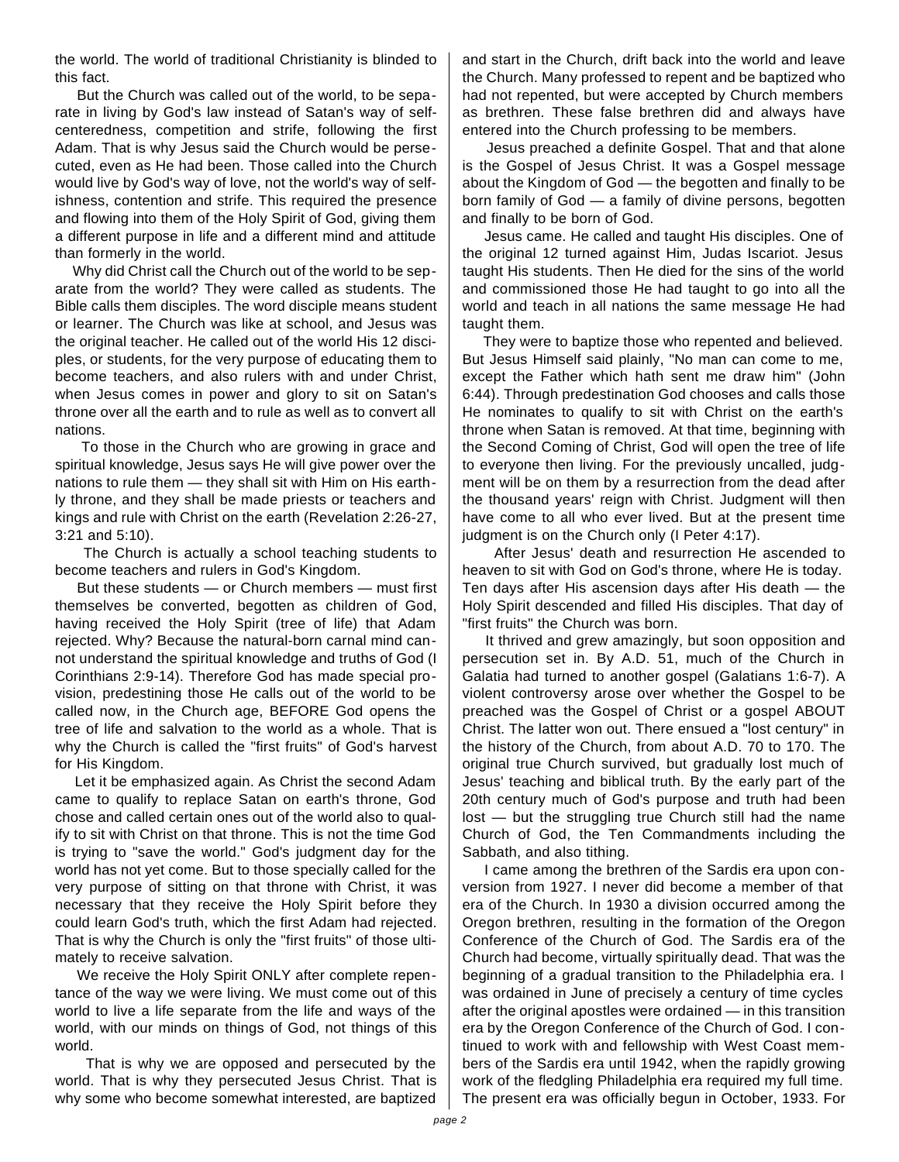the world. The world of traditional Christianity is blinded to this fact.

But the Church was called out of the world, to be separate in living by God's law instead of Satan's way of selfcenteredness, competition and strife, following the first Adam. That is why Jesus said the Church would be persecuted, even as He had been. Those called into the Church would live by God's way of love, not the world's way of selfishness, contention and strife. This required the presence and flowing into them of the Holy Spirit of God, giving them a different purpose in life and a different mind and attitude than formerly in the world.

Why did Christ call the Church out of the world to be separate from the world? They were called as students. The Bible calls them disciples. The word disciple means student or learner. The Church was like at school, and Jesus was the original teacher. He called out of the world His 12 disciples, or students, for the very purpose of educating them to become teachers, and also rulers with and under Christ, when Jesus comes in power and glory to sit on Satan's throne over all the earth and to rule as well as to convert all nations.

To those in the Church who are growing in grace and spiritual knowledge, Jesus says He will give power over the nations to rule them — they shall sit with Him on His earthly throne, and they shall be made priests or teachers and kings and rule with Christ on the earth (Revelation 2:26-27, 3:21 and 5:10).

The Church is actually a school teaching students to become teachers and rulers in God's Kingdom.

But these students — or Church members — must first themselves be converted, begotten as children of God, having received the Holy Spirit (tree of life) that Adam rejected. Why? Because the natural-born carnal mind cannot understand the spiritual knowledge and truths of God (I Corinthians 2:9-14). Therefore God has made special provision, predestining those He calls out of the world to be called now, in the Church age, BEFORE God opens the tree of life and salvation to the world as a whole. That is why the Church is called the "first fruits" of God's harvest for His Kingdom.

Let it be emphasized again. As Christ the second Adam came to qualify to replace Satan on earth's throne, God chose and called certain ones out of the world also to qualify to sit with Christ on that throne. This is not the time God is trying to "save the world." God's judgment day for the world has not yet come. But to those specially called for the very purpose of sitting on that throne with Christ, it was necessary that they receive the Holy Spirit before they could learn God's truth, which the first Adam had rejected. That is why the Church is only the "first fruits" of those ultimately to receive salvation.

We receive the Holy Spirit ONLY after complete repentance of the way we were living. We must come out of this world to live a life separate from the life and ways of the world, with our minds on things of God, not things of this world.

That is why we are opposed and persecuted by the world. That is why they persecuted Jesus Christ. That is why some who become somewhat interested, are baptized and start in the Church, drift back into the world and leave the Church. Many professed to repent and be baptized who had not repented, but were accepted by Church members as brethren. These false brethren did and always have entered into the Church professing to be members.

Jesus preached a definite Gospel. That and that alone is the Gospel of Jesus Christ. It was a Gospel message about the Kingdom of God — the begotten and finally to be born family of God — a family of divine persons, begotten and finally to be born of God.

Jesus came. He called and taught His disciples. One of the original 12 turned against Him, Judas Iscariot. Jesus taught His students. Then He died for the sins of the world and commissioned those He had taught to go into all the world and teach in all nations the same message He had taught them.

They were to baptize those who repented and believed. But Jesus Himself said plainly, "No man can come to me, except the Father which hath sent me draw him" (John 6:44). Through predestination God chooses and calls those He nominates to qualify to sit with Christ on the earth's throne when Satan is removed. At that time, beginning with the Second Coming of Christ, God will open the tree of life to everyone then living. For the previously uncalled, judgment will be on them by a resurrection from the dead after the thousand years' reign with Christ. Judgment will then have come to all who ever lived. But at the present time judgment is on the Church only (I Peter 4:17).

After Jesus' death and resurrection He ascended to heaven to sit with God on God's throne, where He is today. Ten days after His ascension days after His death — the Holy Spirit descended and filled His disciples. That day of "first fruits" the Church was born.

It thrived and grew amazingly, but soon opposition and persecution set in. By A.D. 51, much of the Church in Galatia had turned to another gospel (Galatians 1:6-7). A violent controversy arose over whether the Gospel to be preached was the Gospel of Christ or a gospel ABOUT Christ. The latter won out. There ensued a "lost century" in the history of the Church, from about A.D. 70 to 170. The original true Church survived, but gradually lost much of Jesus' teaching and biblical truth. By the early part of the 20th century much of God's purpose and truth had been lost — but the struggling true Church still had the name Church of God, the Ten Commandments including the Sabbath, and also tithing.

I came among the brethren of the Sardis era upon conversion from 1927. I never did become a member of that era of the Church. In 1930 a division occurred among the Oregon brethren, resulting in the formation of the Oregon Conference of the Church of God. The Sardis era of the Church had become, virtually spiritually dead. That was the beginning of a gradual transition to the Philadelphia era. I was ordained in June of precisely a century of time cycles after the original apostles were ordained — in this transition era by the Oregon Conference of the Church of God. I continued to work with and fellowship with West Coast members of the Sardis era until 1942, when the rapidly growing work of the fledgling Philadelphia era required my full time. The present era was officially begun in October, 1933. For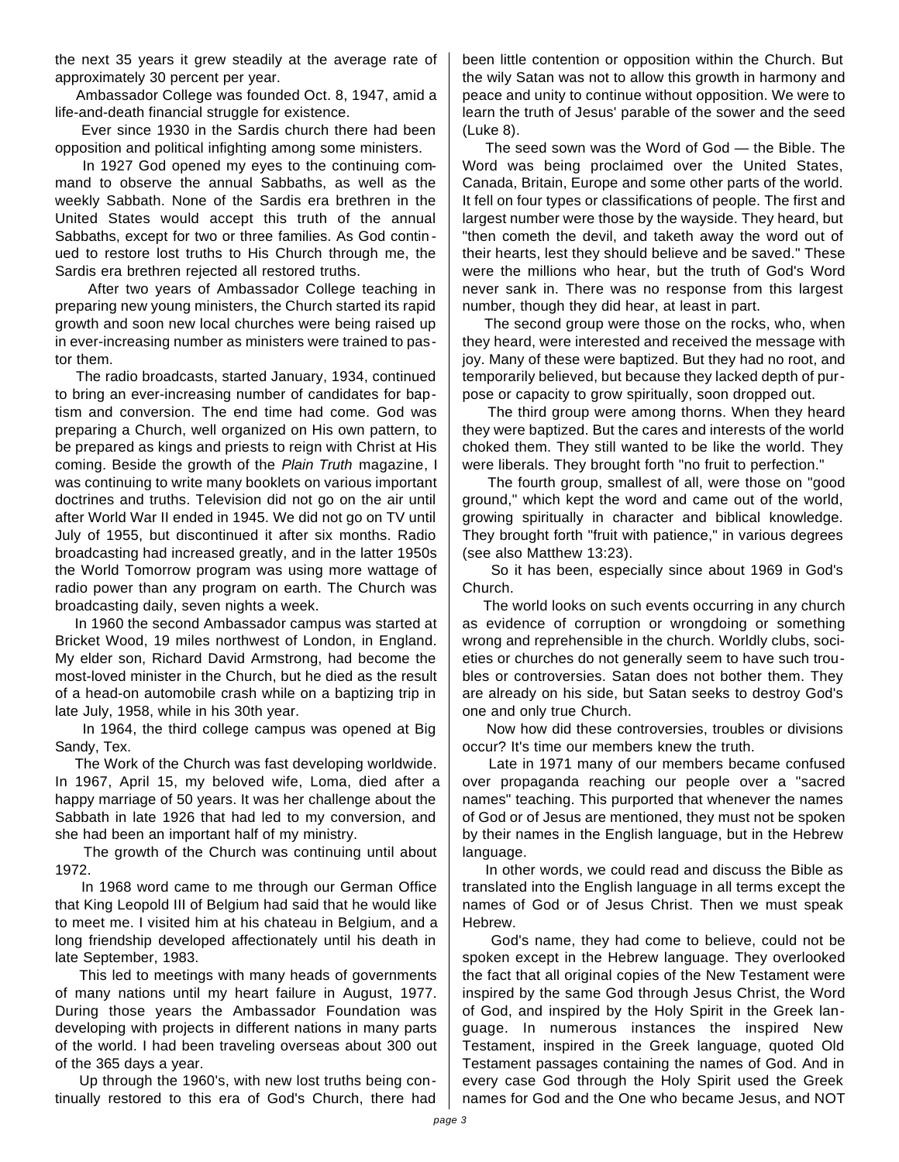the next 35 years it grew steadily at the average rate of approximately 30 percent per year.

Ambassador College was founded Oct. 8, 1947, amid a life-and-death financial struggle for existence.

Ever since 1930 in the Sardis church there had been opposition and political infighting among some ministers.

In 1927 God opened my eyes to the continuing command to observe the annual Sabbaths, as well as the weekly Sabbath. None of the Sardis era brethren in the United States would accept this truth of the annual Sabbaths, except for two or three families. As God contin ued to restore lost truths to His Church through me, the Sardis era brethren rejected all restored truths.

After two years of Ambassador College teaching in preparing new young ministers, the Church started its rapid growth and soon new local churches were being raised up in ever-increasing number as ministers were trained to pastor them.

The radio broadcasts, started January, 1934, continued to bring an ever-increasing number of candidates for baptism and conversion. The end time had come. God was preparing a Church, well organized on His own pattern, to be prepared as kings and priests to reign with Christ at His coming. Beside the growth of the *Plain Truth* magazine, I was continuing to write many booklets on various important doctrines and truths. Television did not go on the air until after World War II ended in 1945. We did not go on TV until July of 1955, but discontinued it after six months. Radio broadcasting had increased greatly, and in the latter 1950s the World Tomorrow program was using more wattage of radio power than any program on earth. The Church was broadcasting daily, seven nights a week.

In 1960 the second Ambassador campus was started at Bricket Wood, 19 miles northwest of London, in England. My elder son, Richard David Armstrong, had become the most-loved minister in the Church, but he died as the result of a head-on automobile crash while on a baptizing trip in late July, 1958, while in his 30th year.

In 1964, the third college campus was opened at Big Sandy, Tex.

The Work of the Church was fast developing worldwide. In 1967, April 15, my beloved wife, Loma, died after a happy marriage of 50 years. It was her challenge about the Sabbath in late 1926 that had led to my conversion, and she had been an important half of my ministry.

The growth of the Church was continuing until about 1972.

In 1968 word came to me through our German Office that King Leopold III of Belgium had said that he would like to meet me. I visited him at his chateau in Belgium, and a long friendship developed affectionately until his death in late September, 1983.

This led to meetings with many heads of governments of many nations until my heart failure in August, 1977. During those years the Ambassador Foundation was developing with projects in different nations in many parts of the world. I had been traveling overseas about 300 out of the 365 days a year.

Up through the 1960's, with new lost truths being continually restored to this era of God's Church, there had been little contention or opposition within the Church. But the wily Satan was not to allow this growth in harmony and peace and unity to continue without opposition. We were to learn the truth of Jesus' parable of the sower and the seed (Luke 8).

The seed sown was the Word of God — the Bible. The Word was being proclaimed over the United States, Canada, Britain, Europe and some other parts of the world. It fell on four types or classifications of people. The first and largest number were those by the wayside. They heard, but "then cometh the devil, and taketh away the word out of their hearts, lest they should believe and be saved." These were the millions who hear, but the truth of God's Word never sank in. There was no response from this largest number, though they did hear, at least in part.

The second group were those on the rocks, who, when they heard, were interested and received the message with joy. Many of these were baptized. But they had no root, and temporarily believed, but because they lacked depth of purpose or capacity to grow spiritually, soon dropped out.

The third group were among thorns. When they heard they were baptized. But the cares and interests of the world choked them. They still wanted to be like the world. They were liberals. They brought forth "no fruit to perfection."

The fourth group, smallest of all, were those on "good ground," which kept the word and came out of the world, growing spiritually in character and biblical knowledge. They brought forth "fruit with patience," in various degrees (see also Matthew 13:23).

So it has been, especially since about 1969 in God's Church.

The world looks on such events occurring in any church as evidence of corruption or wrongdoing or something wrong and reprehensible in the church. Worldly clubs, societies or churches do not generally seem to have such troubles or controversies. Satan does not bother them. They are already on his side, but Satan seeks to destroy God's one and only true Church.

Now how did these controversies, troubles or divisions occur? It's time our members knew the truth.

Late in 1971 many of our members became confused over propaganda reaching our people over a "sacred names" teaching. This purported that whenever the names of God or of Jesus are mentioned, they must not be spoken by their names in the English language, but in the Hebrew language.

In other words, we could read and discuss the Bible as translated into the English language in all terms except the names of God or of Jesus Christ. Then we must speak Hebrew.

God's name, they had come to believe, could not be spoken except in the Hebrew language. They overlooked the fact that all original copies of the New Testament were inspired by the same God through Jesus Christ, the Word of God, and inspired by the Holy Spirit in the Greek language. In numerous instances the inspired New Testament, inspired in the Greek language, quoted Old Testament passages containing the names of God. And in every case God through the Holy Spirit used the Greek names for God and the One who became Jesus, and NOT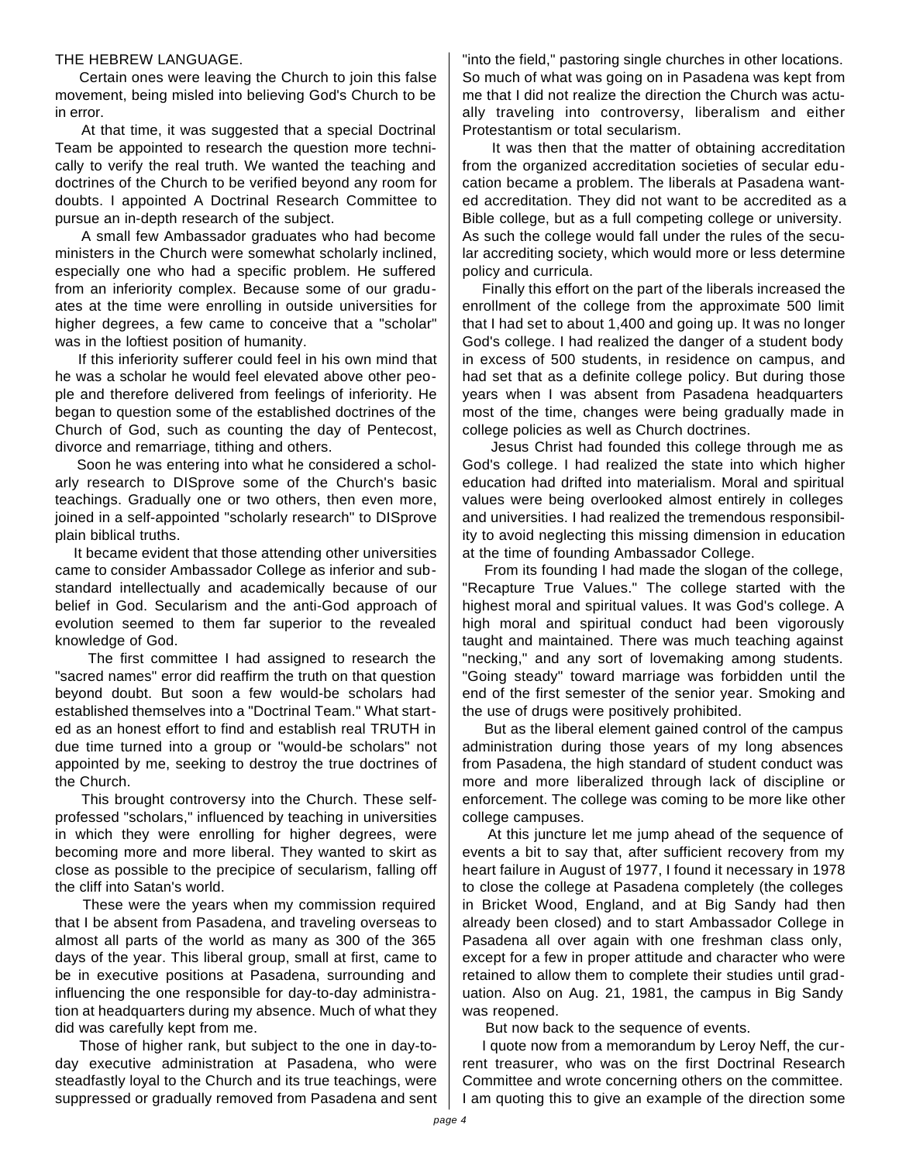## THE HEBREW LANGUAGE.

Certain ones were leaving the Church to join this false movement, being misled into believing God's Church to be in error.

At that time, it was suggested that a special Doctrinal Team be appointed to research the question more technically to verify the real truth. We wanted the teaching and doctrines of the Church to be verified beyond any room for doubts. I appointed A Doctrinal Research Committee to pursue an in-depth research of the subject.

A small few Ambassador graduates who had become ministers in the Church were somewhat scholarly inclined, especially one who had a specific problem. He suffered from an inferiority complex. Because some of our graduates at the time were enrolling in outside universities for higher degrees, a few came to conceive that a "scholar" was in the loftiest position of humanity.

If this inferiority sufferer could feel in his own mind that he was a scholar he would feel elevated above other people and therefore delivered from feelings of inferiority. He began to question some of the established doctrines of the Church of God, such as counting the day of Pentecost, divorce and remarriage, tithing and others.

Soon he was entering into what he considered a scholarly research to DISprove some of the Church's basic teachings. Gradually one or two others, then even more, joined in a self-appointed "scholarly research" to DISprove plain biblical truths.

It became evident that those attending other universities came to consider Ambassador College as inferior and substandard intellectually and academically because of our belief in God. Secularism and the anti-God approach of evolution seemed to them far superior to the revealed knowledge of God.

The first committee I had assigned to research the "sacred names" error did reaffirm the truth on that question beyond doubt. But soon a few would-be scholars had established themselves into a "Doctrinal Team." What started as an honest effort to find and establish real TRUTH in due time turned into a group or "would-be scholars" not appointed by me, seeking to destroy the true doctrines of the Church.

This brought controversy into the Church. These selfprofessed "scholars," influenced by teaching in universities in which they were enrolling for higher degrees, were becoming more and more liberal. They wanted to skirt as close as possible to the precipice of secularism, falling off the cliff into Satan's world.

These were the years when my commission required that I be absent from Pasadena, and traveling overseas to almost all parts of the world as many as 300 of the 365 days of the year. This liberal group, small at first, came to be in executive positions at Pasadena, surrounding and influencing the one responsible for day-to-day administration at headquarters during my absence. Much of what they did was carefully kept from me.

Those of higher rank, but subject to the one in day-today executive administration at Pasadena, who were steadfastly loyal to the Church and its true teachings, were suppressed or gradually removed from Pasadena and sent

"into the field," pastoring single churches in other locations. So much of what was going on in Pasadena was kept from me that I did not realize the direction the Church was actually traveling into controversy, liberalism and either Protestantism or total secularism.

It was then that the matter of obtaining accreditation from the organized accreditation societies of secular education became a problem. The liberals at Pasadena wanted accreditation. They did not want to be accredited as a Bible college, but as a full competing college or university. As such the college would fall under the rules of the secular accrediting society, which would more or less determine policy and curricula.

Finally this effort on the part of the liberals increased the enrollment of the college from the approximate 500 limit that I had set to about 1,400 and going up. It was no longer God's college. I had realized the danger of a student body in excess of 500 students, in residence on campus, and had set that as a definite college policy. But during those years when I was absent from Pasadena headquarters most of the time, changes were being gradually made in college policies as well as Church doctrines.

Jesus Christ had founded this college through me as God's college. I had realized the state into which higher education had drifted into materialism. Moral and spiritual values were being overlooked almost entirely in colleges and universities. I had realized the tremendous responsibility to avoid neglecting this missing dimension in education at the time of founding Ambassador College.

From its founding I had made the slogan of the college, "Recapture True Values." The college started with the highest moral and spiritual values. It was God's college. A high moral and spiritual conduct had been vigorously taught and maintained. There was much teaching against "necking," and any sort of lovemaking among students. "Going steady" toward marriage was forbidden until the end of the first semester of the senior year. Smoking and the use of drugs were positively prohibited.

But as the liberal element gained control of the campus administration during those years of my long absences from Pasadena, the high standard of student conduct was more and more liberalized through lack of discipline or enforcement. The college was coming to be more like other college campuses.

At this juncture let me jump ahead of the sequence of events a bit to say that, after sufficient recovery from my heart failure in August of 1977, I found it necessary in 1978 to close the college at Pasadena completely (the colleges in Bricket Wood, England, and at Big Sandy had then already been closed) and to start Ambassador College in Pasadena all over again with one freshman class only, except for a few in proper attitude and character who were retained to allow them to complete their studies until graduation. Also on Aug. 21, 1981, the campus in Big Sandy was reopened.

But now back to the sequence of events.

I quote now from a memorandum by Leroy Neff, the current treasurer, who was on the first Doctrinal Research Committee and wrote concerning others on the committee. I am quoting this to give an example of the direction some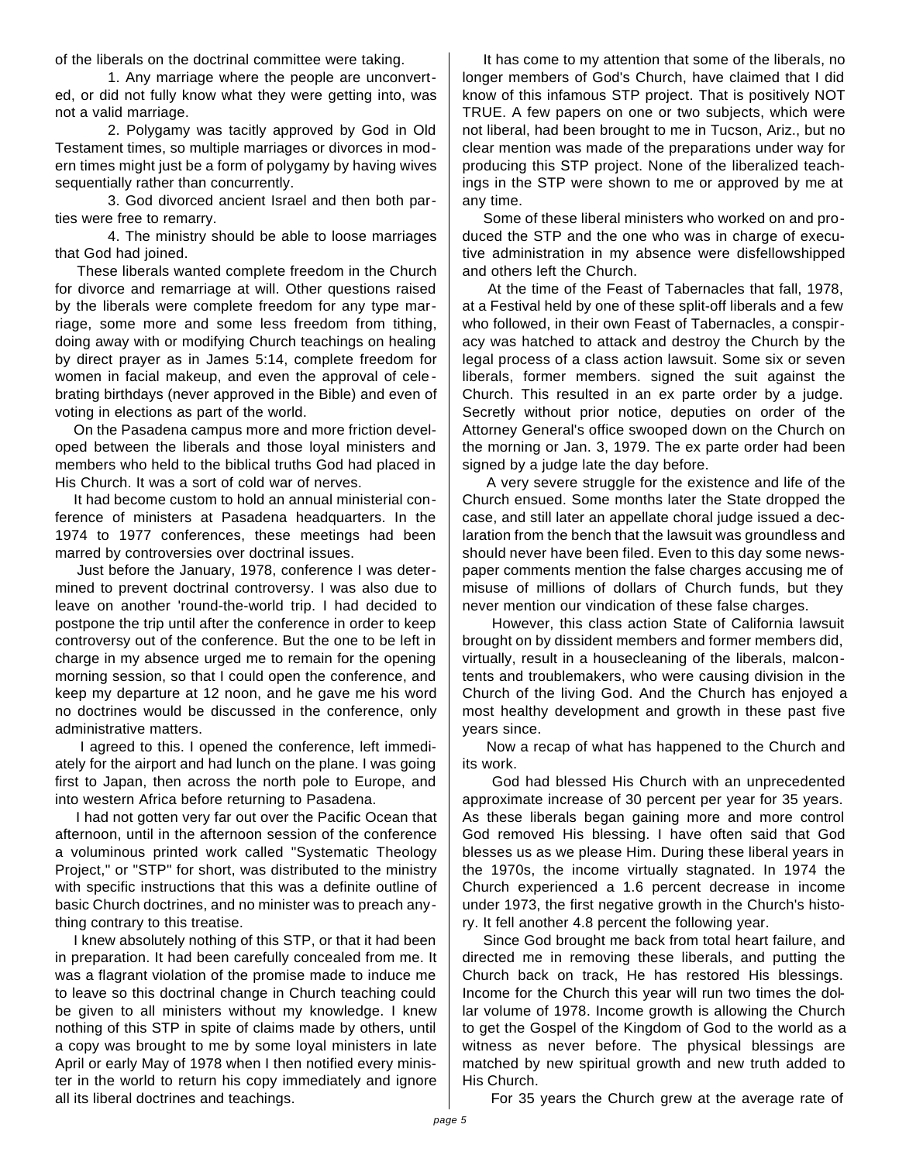of the liberals on the doctrinal committee were taking.

1. Any marriage where the people are unconverted, or did not fully know what they were getting into, was not a valid marriage.

2. Polygamy was tacitly approved by God in Old Testament times, so multiple marriages or divorces in modern times might just be a form of polygamy by having wives sequentially rather than concurrently.

3. God divorced ancient Israel and then both parties were free to remarry.

4. The ministry should be able to loose marriages that God had joined.

These liberals wanted complete freedom in the Church for divorce and remarriage at will. Other questions raised by the liberals were complete freedom for any type marriage, some more and some less freedom from tithing, doing away with or modifying Church teachings on healing by direct prayer as in James 5:14, complete freedom for women in facial makeup, and even the approval of cele brating birthdays (never approved in the Bible) and even of voting in elections as part of the world.

On the Pasadena campus more and more friction developed between the liberals and those loyal ministers and members who held to the biblical truths God had placed in His Church. It was a sort of cold war of nerves.

It had become custom to hold an annual ministerial conference of ministers at Pasadena headquarters. In the 1974 to 1977 conferences, these meetings had been marred by controversies over doctrinal issues.

Just before the January, 1978, conference I was determined to prevent doctrinal controversy. I was also due to leave on another 'round-the-world trip. I had decided to postpone the trip until after the conference in order to keep controversy out of the conference. But the one to be left in charge in my absence urged me to remain for the opening morning session, so that I could open the conference, and keep my departure at 12 noon, and he gave me his word no doctrines would be discussed in the conference, only administrative matters.

I agreed to this. I opened the conference, left immediately for the airport and had lunch on the plane. I was going first to Japan, then across the north pole to Europe, and into western Africa before returning to Pasadena.

I had not gotten very far out over the Pacific Ocean that afternoon, until in the afternoon session of the conference a voluminous printed work called "Systematic Theology Project," or "STP" for short, was distributed to the ministry with specific instructions that this was a definite outline of basic Church doctrines, and no minister was to preach anything contrary to this treatise.

I knew absolutely nothing of this STP, or that it had been in preparation. It had been carefully concealed from me. It was a flagrant violation of the promise made to induce me to leave so this doctrinal change in Church teaching could be given to all ministers without my knowledge. I knew nothing of this STP in spite of claims made by others, until a copy was brought to me by some loyal ministers in late April or early May of 1978 when I then notified every minister in the world to return his copy immediately and ignore all its liberal doctrines and teachings.

It has come to my attention that some of the liberals, no longer members of God's Church, have claimed that I did know of this infamous STP project. That is positively NOT TRUE. A few papers on one or two subjects, which were not liberal, had been brought to me in Tucson, Ariz., but no clear mention was made of the preparations under way for producing this STP project. None of the liberalized teachings in the STP were shown to me or approved by me at any time.

Some of these liberal ministers who worked on and produced the STP and the one who was in charge of executive administration in my absence were disfellowshipped and others left the Church.

At the time of the Feast of Tabernacles that fall, 1978, at a Festival held by one of these split-off liberals and a few who followed, in their own Feast of Tabernacles, a conspiracy was hatched to attack and destroy the Church by the legal process of a class action lawsuit. Some six or seven liberals, former members. signed the suit against the Church. This resulted in an ex parte order by a judge. Secretly without prior notice, deputies on order of the Attorney General's office swooped down on the Church on the morning or Jan. 3, 1979. The ex parte order had been signed by a judge late the day before.

A very severe struggle for the existence and life of the Church ensued. Some months later the State dropped the case, and still later an appellate choral judge issued a declaration from the bench that the lawsuit was groundless and should never have been filed. Even to this day some newspaper comments mention the false charges accusing me of misuse of millions of dollars of Church funds, but they never mention our vindication of these false charges.

However, this class action State of California lawsuit brought on by dissident members and former members did, virtually, result in a housecleaning of the liberals, malcontents and troublemakers, who were causing division in the Church of the living God. And the Church has enjoyed a most healthy development and growth in these past five years since.

Now a recap of what has happened to the Church and its work.

God had blessed His Church with an unprecedented approximate increase of 30 percent per year for 35 years. As these liberals began gaining more and more control God removed His blessing. I have often said that God blesses us as we please Him. During these liberal years in the 1970s, the income virtually stagnated. In 1974 the Church experienced a 1.6 percent decrease in income under 1973, the first negative growth in the Church's history. It fell another 4.8 percent the following year.

Since God brought me back from total heart failure, and directed me in removing these liberals, and putting the Church back on track, He has restored His blessings. Income for the Church this year will run two times the dollar volume of 1978. Income growth is allowing the Church to get the Gospel of the Kingdom of God to the world as a witness as never before. The physical blessings are matched by new spiritual growth and new truth added to His Church.

For 35 years the Church grew at the average rate of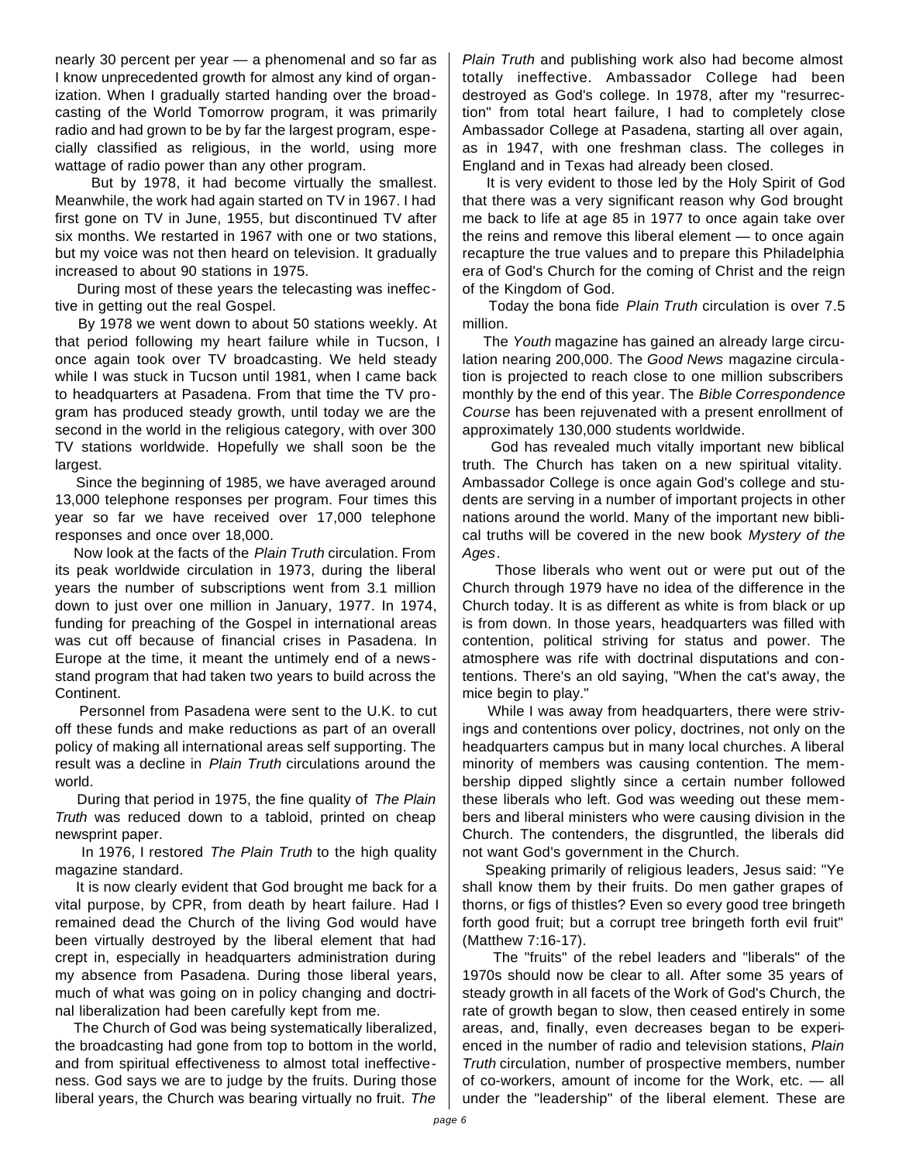nearly 30 percent per year — a phenomenal and so far as I know unprecedented growth for almost any kind of organization. When I gradually started handing over the broadcasting of the World Tomorrow program, it was primarily radio and had grown to be by far the largest program, especially classified as religious, in the world, using more wattage of radio power than any other program.

But by 1978, it had become virtually the smallest. Meanwhile, the work had again started on TV in 1967. I had first gone on TV in June, 1955, but discontinued TV after six months. We restarted in 1967 with one or two stations, but my voice was not then heard on television. It gradually increased to about 90 stations in 1975.

During most of these years the telecasting was ineffective in getting out the real Gospel.

By 1978 we went down to about 50 stations weekly. At that period following my heart failure while in Tucson, I once again took over TV broadcasting. We held steady while I was stuck in Tucson until 1981, when I came back to headquarters at Pasadena. From that time the TV program has produced steady growth, until today we are the second in the world in the religious category, with over 300 TV stations worldwide. Hopefully we shall soon be the largest.

Since the beginning of 1985, we have averaged around 13,000 telephone responses per program. Four times this year so far we have received over 17,000 telephone responses and once over 18,000.

Now look at the facts of the *Plain Truth* circulation. From its peak worldwide circulation in 1973, during the liberal years the number of subscriptions went from 3.1 million down to just over one million in January, 1977. In 1974, funding for preaching of the Gospel in international areas was cut off because of financial crises in Pasadena. In Europe at the time, it meant the untimely end of a newsstand program that had taken two years to build across the Continent.

Personnel from Pasadena were sent to the U.K. to cut off these funds and make reductions as part of an overall policy of making all international areas self supporting. The result was a decline in *Plain Truth* circulations around the world.

During that period in 1975, the fine quality of *The Plain Truth* was reduced down to a tabloid, printed on cheap newsprint paper.

In 1976, I restored *The Plain Truth* to the high quality magazine standard.

It is now clearly evident that God brought me back for a vital purpose, by CPR, from death by heart failure. Had I remained dead the Church of the living God would have been virtually destroyed by the liberal element that had crept in, especially in headquarters administration during my absence from Pasadena. During those liberal years, much of what was going on in policy changing and doctrinal liberalization had been carefully kept from me.

The Church of God was being systematically liberalized, the broadcasting had gone from top to bottom in the world, and from spiritual effectiveness to almost total ineffectiveness. God says we are to judge by the fruits. During those liberal years, the Church was bearing virtually no fruit. *The*

*Plain Truth* and publishing work also had become almost totally ineffective. Ambassador College had been destroyed as God's college. In 1978, after my "resurrection" from total heart failure, I had to completely close Ambassador College at Pasadena, starting all over again, as in 1947, with one freshman class. The colleges in England and in Texas had already been closed.

It is very evident to those led by the Holy Spirit of God that there was a very significant reason why God brought me back to life at age 85 in 1977 to once again take over the reins and remove this liberal element — to once again recapture the true values and to prepare this Philadelphia era of God's Church for the coming of Christ and the reign of the Kingdom of God.

Today the bona fide *Plain Truth* circulation is over 7.5 million.

The *Youth* magazine has gained an already large circulation nearing 200,000. The *Good News* magazine circulation is projected to reach close to one million subscribers monthly by the end of this year. The *Bible Correspondence Course* has been rejuvenated with a present enrollment of approximately 130,000 students worldwide.

God has revealed much vitally important new biblical truth. The Church has taken on a new spiritual vitality. Ambassador College is once again God's college and students are serving in a number of important projects in other nations around the world. Many of the important new biblical truths will be covered in the new book *Mystery of the Ages*.

Those liberals who went out or were put out of the Church through 1979 have no idea of the difference in the Church today. It is as different as white is from black or up is from down. In those years, headquarters was filled with contention, political striving for status and power. The atmosphere was rife with doctrinal disputations and contentions. There's an old saying, "When the cat's away, the mice begin to play."

While I was away from headquarters, there were strivings and contentions over policy, doctrines, not only on the headquarters campus but in many local churches. A liberal minority of members was causing contention. The membership dipped slightly since a certain number followed these liberals who left. God was weeding out these members and liberal ministers who were causing division in the Church. The contenders, the disgruntled, the liberals did not want God's government in the Church.

Speaking primarily of religious leaders, Jesus said: "Ye shall know them by their fruits. Do men gather grapes of thorns, or figs of thistles? Even so every good tree bringeth forth good fruit; but a corrupt tree bringeth forth evil fruit" (Matthew 7:16-17).

The "fruits" of the rebel leaders and "liberals" of the 1970s should now be clear to all. After some 35 years of steady growth in all facets of the Work of God's Church, the rate of growth began to slow, then ceased entirely in some areas, and, finally, even decreases began to be experienced in the number of radio and television stations, *Plain Truth* circulation, number of prospective members, number of co-workers, amount of income for the Work, etc. — all under the "leadership" of the liberal element. These are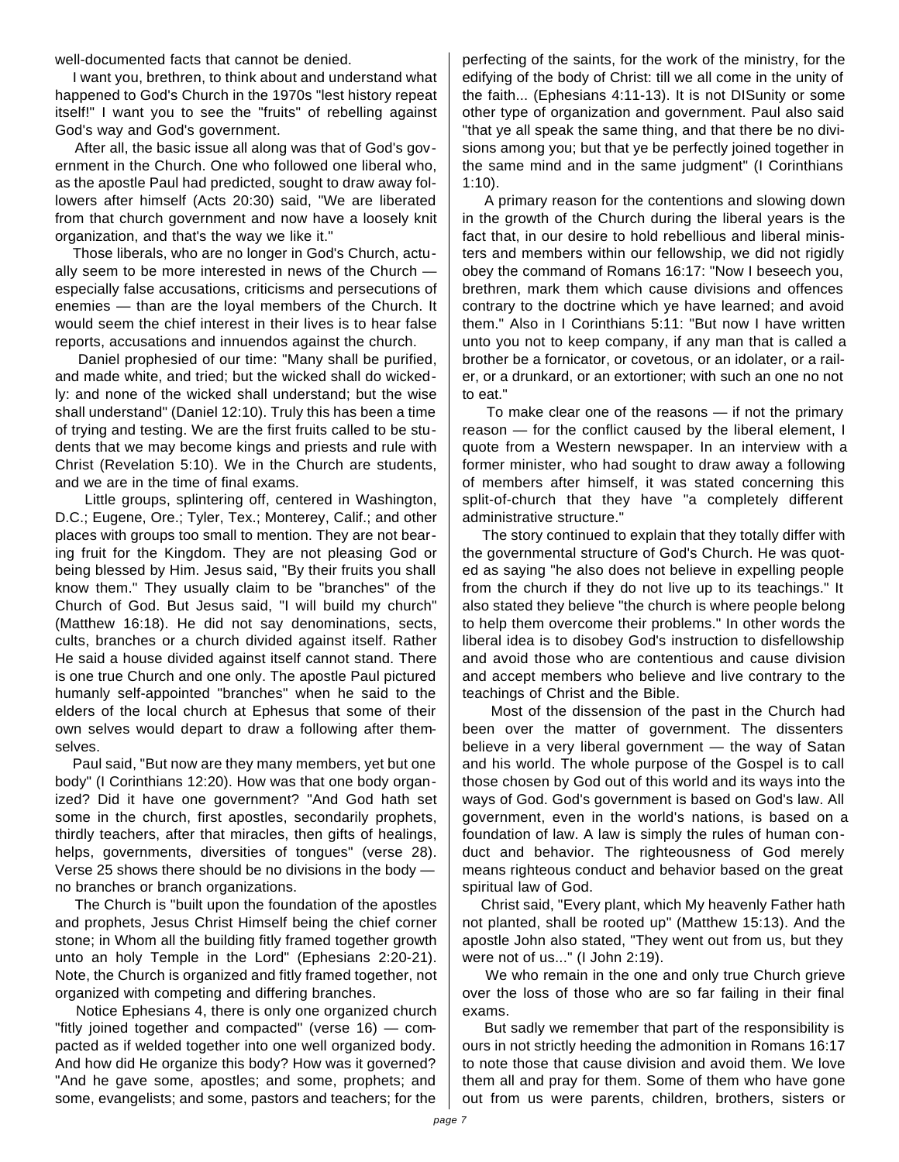well-documented facts that cannot be denied.

I want you, brethren, to think about and understand what happened to God's Church in the 1970s "lest history repeat itself!" I want you to see the "fruits" of rebelling against God's way and God's government.

After all, the basic issue all along was that of God's government in the Church. One who followed one liberal who, as the apostle Paul had predicted, sought to draw away followers after himself (Acts 20:30) said, "We are liberated from that church government and now have a loosely knit organization, and that's the way we like it."

Those liberals, who are no longer in God's Church, actually seem to be more interested in news of the Church especially false accusations, criticisms and persecutions of enemies — than are the loyal members of the Church. It would seem the chief interest in their lives is to hear false reports, accusations and innuendos against the church.

Daniel prophesied of our time: "Many shall be purified, and made white, and tried; but the wicked shall do wickedly: and none of the wicked shall understand; but the wise shall understand" (Daniel 12:10). Truly this has been a time of trying and testing. We are the first fruits called to be students that we may become kings and priests and rule with Christ (Revelation 5:10). We in the Church are students, and we are in the time of final exams.

Little groups, splintering off, centered in Washington, D.C.; Eugene, Ore.; Tyler, Tex.; Monterey, Calif.; and other places with groups too small to mention. They are not bearing fruit for the Kingdom. They are not pleasing God or being blessed by Him. Jesus said, "By their fruits you shall know them." They usually claim to be "branches" of the Church of God. But Jesus said, "I will build my church" (Matthew 16:18). He did not say denominations, sects, cults, branches or a church divided against itself. Rather He said a house divided against itself cannot stand. There is one true Church and one only. The apostle Paul pictured humanly self-appointed "branches" when he said to the elders of the local church at Ephesus that some of their own selves would depart to draw a following after themselves.

Paul said, "But now are they many members, yet but one body" (I Corinthians 12:20). How was that one body organized? Did it have one government? "And God hath set some in the church, first apostles, secondarily prophets, thirdly teachers, after that miracles, then gifts of healings, helps, governments, diversities of tongues" (verse 28). Verse 25 shows there should be no divisions in the body no branches or branch organizations.

The Church is "built upon the foundation of the apostles and prophets, Jesus Christ Himself being the chief corner stone; in Whom all the building fitly framed together growth unto an holy Temple in the Lord" (Ephesians 2:20-21). Note, the Church is organized and fitly framed together, not organized with competing and differing branches.

Notice Ephesians 4, there is only one organized church "fitly joined together and compacted" (verse 16) — compacted as if welded together into one well organized body. And how did He organize this body? How was it governed? "And he gave some, apostles; and some, prophets; and some, evangelists; and some, pastors and teachers; for the

perfecting of the saints, for the work of the ministry, for the edifying of the body of Christ: till we all come in the unity of the faith... (Ephesians 4:11-13). It is not DISunity or some other type of organization and government. Paul also said "that ye all speak the same thing, and that there be no divisions among you; but that ye be perfectly joined together in the same mind and in the same judgment" (I Corinthians 1:10).

A primary reason for the contentions and slowing down in the growth of the Church during the liberal years is the fact that, in our desire to hold rebellious and liberal ministers and members within our fellowship, we did not rigidly obey the command of Romans 16:17: "Now I beseech you, brethren, mark them which cause divisions and offences contrary to the doctrine which ye have learned; and avoid them." Also in I Corinthians 5:11: "But now I have written unto you not to keep company, if any man that is called a brother be a fornicator, or covetous, or an idolater, or a railer, or a drunkard, or an extortioner; with such an one no not to eat."

To make clear one of the reasons — if not the primary reason — for the conflict caused by the liberal element, I quote from a Western newspaper. In an interview with a former minister, who had sought to draw away a following of members after himself, it was stated concerning this split-of-church that they have "a completely different administrative structure."

The story continued to explain that they totally differ with the governmental structure of God's Church. He was quoted as saying "he also does not believe in expelling people from the church if they do not live up to its teachings." It also stated they believe "the church is where people belong to help them overcome their problems." In other words the liberal idea is to disobey God's instruction to disfellowship and avoid those who are contentious and cause division and accept members who believe and live contrary to the teachings of Christ and the Bible.

Most of the dissension of the past in the Church had been over the matter of government. The dissenters believe in a very liberal government — the way of Satan and his world. The whole purpose of the Gospel is to call those chosen by God out of this world and its ways into the ways of God. God's government is based on God's law. All government, even in the world's nations, is based on a foundation of law. A law is simply the rules of human conduct and behavior. The righteousness of God merely means righteous conduct and behavior based on the great spiritual law of God.

Christ said, "Every plant, which My heavenly Father hath not planted, shall be rooted up" (Matthew 15:13). And the apostle John also stated, "They went out from us, but they were not of us..." (I John 2:19).

We who remain in the one and only true Church grieve over the loss of those who are so far failing in their final exams.

But sadly we remember that part of the responsibility is ours in not strictly heeding the admonition in Romans 16:17 to note those that cause division and avoid them. We love them all and pray for them. Some of them who have gone out from us were parents, children, brothers, sisters or